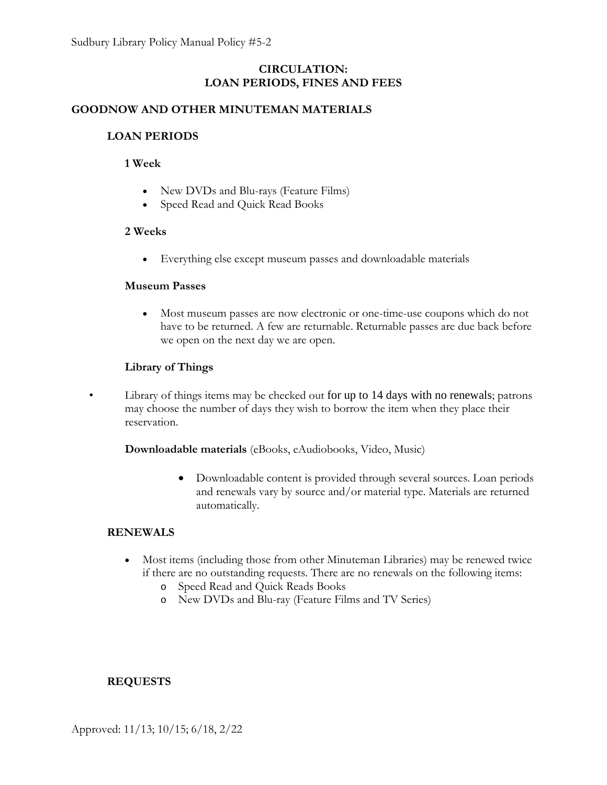## **CIRCULATION: LOAN PERIODS, FINES AND FEES**

## **GOODNOW AND OTHER MINUTEMAN MATERIALS**

## **LOAN PERIODS**

### **1 Week**

- New DVDs and Blu-rays (Feature Films)
- Speed Read and Quick Read Books

#### **2 Weeks**

• Everything else except museum passes and downloadable materials

#### **Museum Passes**

• Most museum passes are now electronic or one-time-use coupons which do not have to be returned. A few are returnable. Returnable passes are due back before we open on the next day we are open.

### **Library of Things**

• Library of things items may be checked out for up to 14 days with no renewals; patrons may choose the number of days they wish to borrow the item when they place their reservation.

**Downloadable materials** (eBooks, eAudiobooks, Video, Music)

• Downloadable content is provided through several sources. Loan periods and renewals vary by source and/or material type. Materials are returned automatically.

#### **RENEWALS**

- Most items (including those from other Minuteman Libraries) may be renewed twice if there are no outstanding requests. There are no renewals on the following items:
	- o Speed Read and Quick Reads Books
	- o New DVDs and Blu-ray (Feature Films and TV Series)

### **REQUESTS**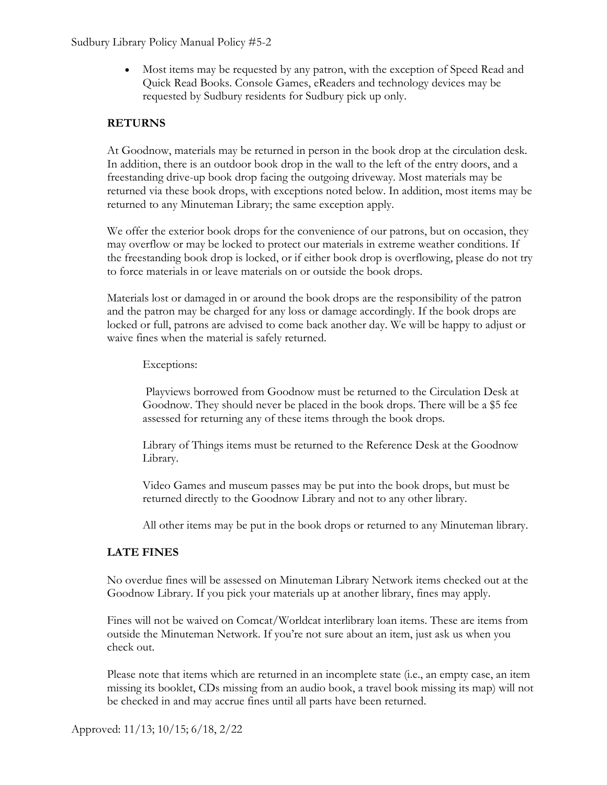• Most items may be requested by any patron, with the exception of Speed Read and Quick Read Books. Console Games, eReaders and technology devices may be requested by Sudbury residents for Sudbury pick up only.

## **RETURNS**

At Goodnow, materials may be returned in person in the book drop at the circulation desk. In addition, there is an outdoor book drop in the wall to the left of the entry doors, and a freestanding drive-up book drop facing the outgoing driveway. Most materials may be returned via these book drops, with exceptions noted below. In addition, most items may be returned to any Minuteman Library; the same exception apply.

We offer the exterior book drops for the convenience of our patrons, but on occasion, they may overflow or may be locked to protect our materials in extreme weather conditions. If the freestanding book drop is locked, or if either book drop is overflowing, please do not try to force materials in or leave materials on or outside the book drops.

Materials lost or damaged in or around the book drops are the responsibility of the patron and the patron may be charged for any loss or damage accordingly. If the book drops are locked or full, patrons are advised to come back another day. We will be happy to adjust or waive fines when the material is safely returned.

Exceptions:

Playviews borrowed from Goodnow must be returned to the Circulation Desk at Goodnow. They should never be placed in the book drops. There will be a \$5 fee assessed for returning any of these items through the book drops.

Library of Things items must be returned to the Reference Desk at the Goodnow Library.

Video Games and museum passes may be put into the book drops, but must be returned directly to the Goodnow Library and not to any other library.

All other items may be put in the book drops or returned to any Minuteman library.

## **LATE FINES**

No overdue fines will be assessed on Minuteman Library Network items checked out at the Goodnow Library. If you pick your materials up at another library, fines may apply.

Fines will not be waived on Comcat/Worldcat interlibrary loan items. These are items from outside the Minuteman Network. If you're not sure about an item, just ask us when you check out.

Please note that items which are returned in an incomplete state (i.e., an empty case, an item missing its booklet, CDs missing from an audio book, a travel book missing its map) will not be checked in and may accrue fines until all parts have been returned.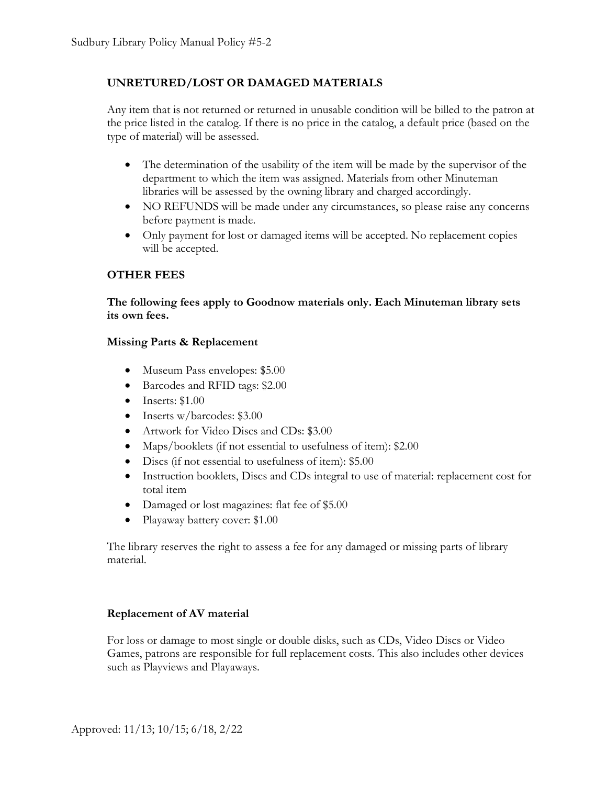## **UNRETURED/LOST OR DAMAGED MATERIALS**

Any item that is not returned or returned in unusable condition will be billed to the patron at the price listed in the catalog. If there is no price in the catalog, a default price (based on the type of material) will be assessed.

- The determination of the usability of the item will be made by the supervisor of the department to which the item was assigned. Materials from other Minuteman libraries will be assessed by the owning library and charged accordingly.
- NO REFUNDS will be made under any circumstances, so please raise any concerns before payment is made.
- Only payment for lost or damaged items will be accepted. No replacement copies will be accepted.

## **OTHER FEES**

**The following fees apply to Goodnow materials only. Each Minuteman library sets its own fees.**

### **Missing Parts & Replacement**

- Museum Pass envelopes: \$5.00
- Barcodes and RFID tags: \$2.00
- Inserts:  $$1.00$
- Inserts w/barcodes: \$3.00
- Artwork for Video Discs and CDs: \$3.00
- Maps/booklets (if not essential to usefulness of item): \$2.00
- Discs (if not essential to usefulness of item): \$5.00
- Instruction booklets, Discs and CDs integral to use of material: replacement cost for total item
- Damaged or lost magazines: flat fee of \$5.00
- Playaway battery cover: \$1.00

The library reserves the right to assess a fee for any damaged or missing parts of library material.

### **Replacement of AV material**

For loss or damage to most single or double disks, such as CDs, Video Discs or Video Games, patrons are responsible for full replacement costs. This also includes other devices such as Playviews and Playaways.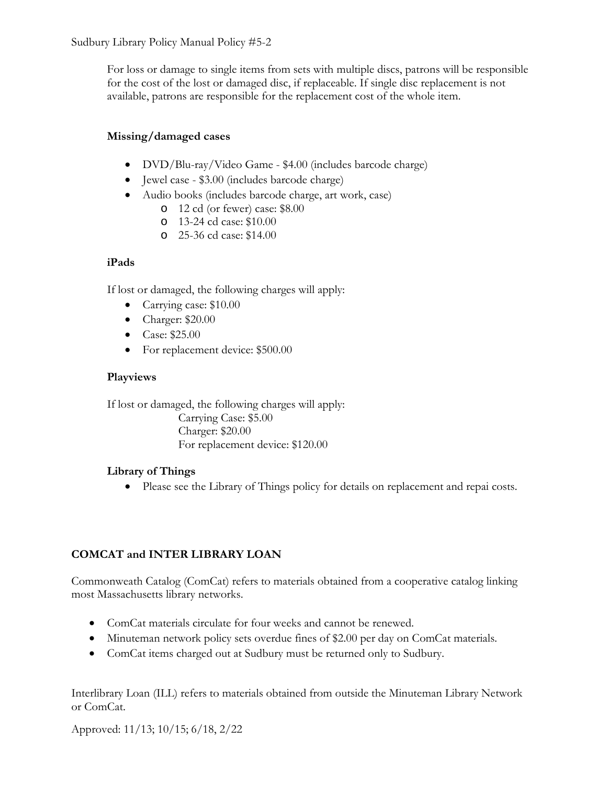For loss or damage to single items from sets with multiple discs, patrons will be responsible for the cost of the lost or damaged disc, if replaceable. If single disc replacement is not available, patrons are responsible for the replacement cost of the whole item.

## **Missing/damaged cases**

- DVD/Blu-ray/Video Game \$4.00 (includes barcode charge)
- Jewel case \$3.00 (includes barcode charge)
- Audio books (includes barcode charge, art work, case)
	- o 12 cd (or fewer) case: \$8.00
	- o 13-24 cd case: \$10.00
	- o 25-36 cd case: \$14.00

# **iPads**

If lost or damaged, the following charges will apply:

- Carrying case: \$10.00
- Charger: \$20.00
- Case: \$25.00
- For replacement device: \$500.00

# **Playviews**

If lost or damaged, the following charges will apply: Carrying Case: \$5.00 Charger: \$20.00 For replacement device: \$120.00

# **Library of Things**

• Please see the Library of Things policy for details on replacement and repai costs.

# **COMCAT and INTER LIBRARY LOAN**

Commonweath Catalog (ComCat) refers to materials obtained from a cooperative catalog linking most Massachusetts library networks.

- ComCat materials circulate for four weeks and cannot be renewed.
- Minuteman network policy sets overdue fines of \$2.00 per day on ComCat materials.
- ComCat items charged out at Sudbury must be returned only to Sudbury.

Interlibrary Loan (ILL) refers to materials obtained from outside the Minuteman Library Network or ComCat.

Approved: 11/13; 10/15; 6/18, 2/22